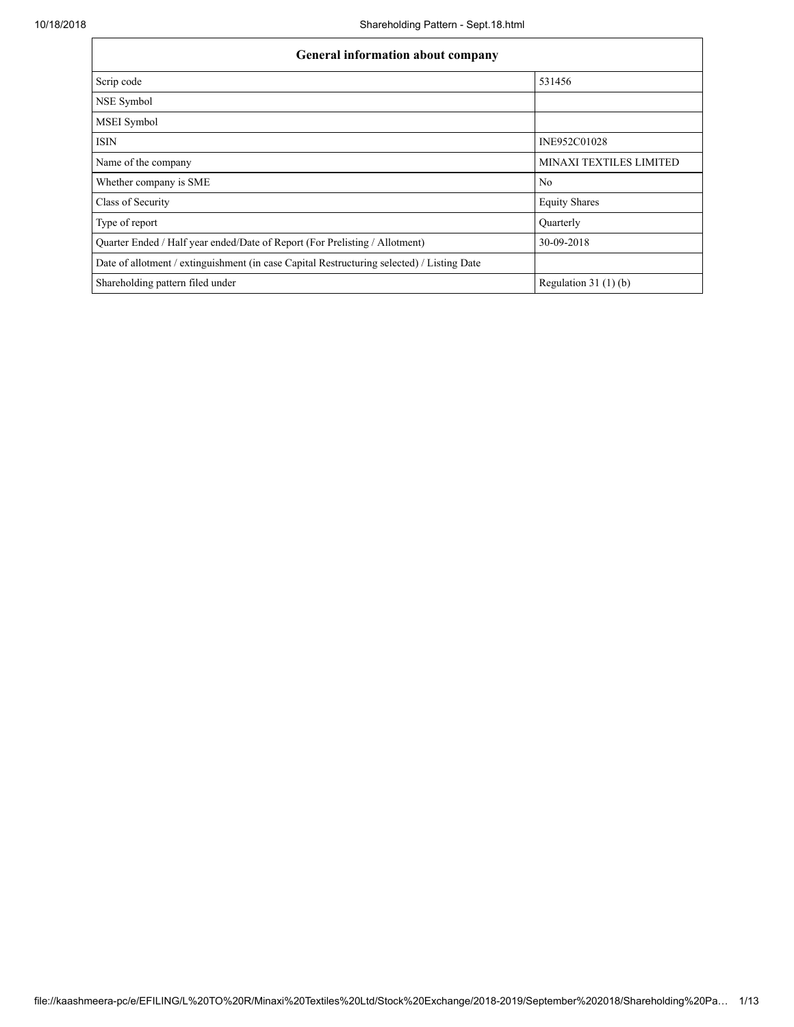| <b>General information about company</b>                                                   |                                |  |  |  |  |  |  |  |
|--------------------------------------------------------------------------------------------|--------------------------------|--|--|--|--|--|--|--|
| Scrip code                                                                                 | 531456                         |  |  |  |  |  |  |  |
| NSE Symbol                                                                                 |                                |  |  |  |  |  |  |  |
| MSEI Symbol                                                                                |                                |  |  |  |  |  |  |  |
| <b>ISIN</b>                                                                                | INE952C01028                   |  |  |  |  |  |  |  |
| Name of the company                                                                        | <b>MINAXI TEXTILES LIMITED</b> |  |  |  |  |  |  |  |
| Whether company is SME                                                                     | N <sub>0</sub>                 |  |  |  |  |  |  |  |
| Class of Security                                                                          | <b>Equity Shares</b>           |  |  |  |  |  |  |  |
| Type of report                                                                             | <b>Ouarterly</b>               |  |  |  |  |  |  |  |
| Quarter Ended / Half year ended/Date of Report (For Prelisting / Allotment)                | 30-09-2018                     |  |  |  |  |  |  |  |
| Date of allotment / extinguishment (in case Capital Restructuring selected) / Listing Date |                                |  |  |  |  |  |  |  |
| Shareholding pattern filed under                                                           | Regulation $31(1)(b)$          |  |  |  |  |  |  |  |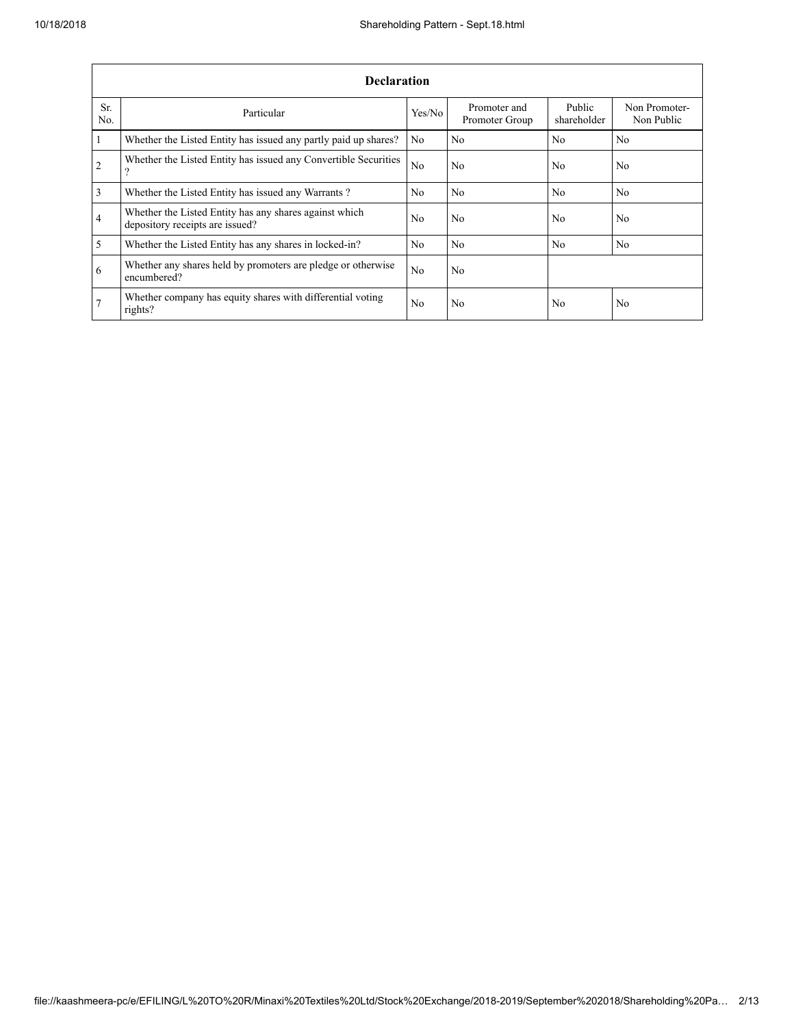|                       | <b>Declaration</b>                                                                        |                |                                |                       |                             |  |  |  |  |  |  |  |
|-----------------------|-------------------------------------------------------------------------------------------|----------------|--------------------------------|-----------------------|-----------------------------|--|--|--|--|--|--|--|
| Sr.<br>N <sub>0</sub> | Particular                                                                                | Yes/No         | Promoter and<br>Promoter Group | Public<br>shareholder | Non Promoter-<br>Non Public |  |  |  |  |  |  |  |
| $\mathbf{1}$          | Whether the Listed Entity has issued any partly paid up shares?                           | No.            | N <sub>0</sub>                 | N <sub>0</sub>        | N <sub>0</sub>              |  |  |  |  |  |  |  |
| 2                     | Whether the Listed Entity has issued any Convertible Securities<br>?                      | N <sub>0</sub> | N <sub>0</sub>                 | N <sub>0</sub>        | N <sub>0</sub>              |  |  |  |  |  |  |  |
| 3                     | Whether the Listed Entity has issued any Warrants?                                        | N <sub>0</sub> | N <sub>0</sub>                 | N <sub>0</sub>        | N <sub>0</sub>              |  |  |  |  |  |  |  |
| $\overline{4}$        | Whether the Listed Entity has any shares against which<br>depository receipts are issued? | N <sub>0</sub> | N <sub>0</sub>                 | N <sub>0</sub>        | N <sub>0</sub>              |  |  |  |  |  |  |  |
| $\overline{5}$        | Whether the Listed Entity has any shares in locked-in?                                    | N <sub>0</sub> | N <sub>0</sub>                 | N <sub>0</sub>        | N <sub>0</sub>              |  |  |  |  |  |  |  |
| 6                     | Whether any shares held by promoters are pledge or otherwise<br>encumbered?               | N <sub>0</sub> | N <sub>0</sub>                 |                       |                             |  |  |  |  |  |  |  |
| $7\phantom{.0}$       | Whether company has equity shares with differential voting<br>rights?                     | N <sub>0</sub> | N <sub>0</sub>                 | N <sub>0</sub>        | N <sub>0</sub>              |  |  |  |  |  |  |  |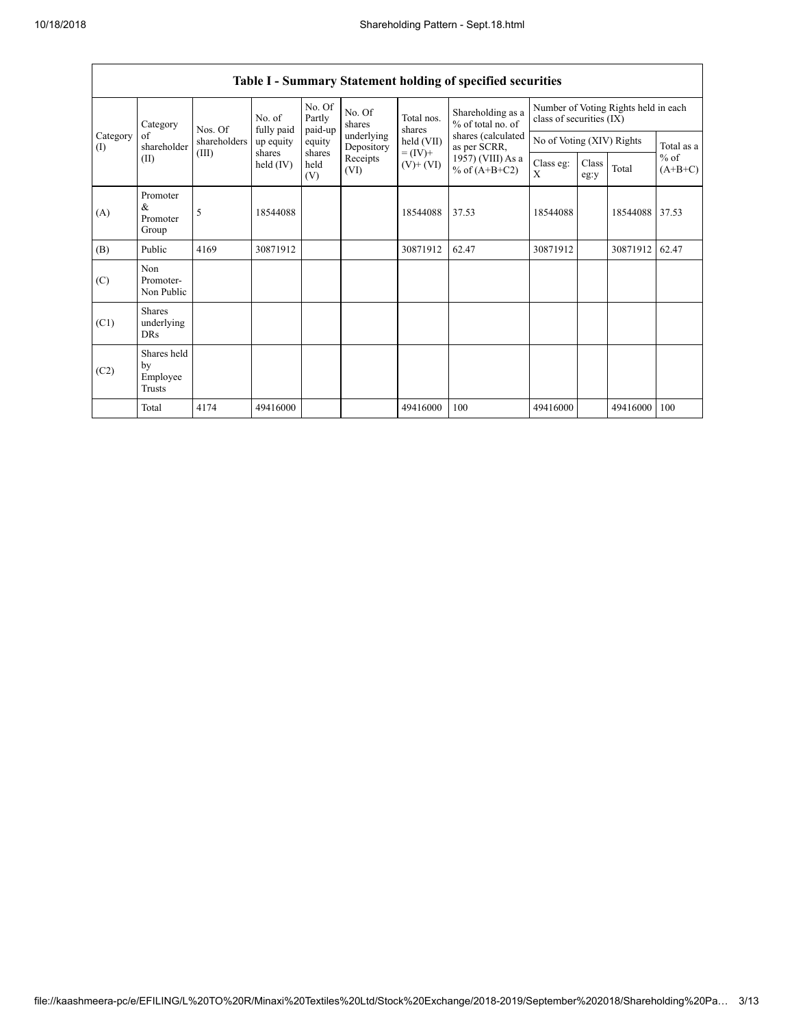|                 | Category                                  | Nos. Of<br>shareholders<br>(III) | No. of<br>fully paid | No. Of<br>Partly<br>paid-up | No. Of<br>shares         | Total nos.<br>shares         | Shareholding as a<br>% of total no. of                                     | class of securities (IX)  |               | Number of Voting Rights held in each |                     |
|-----------------|-------------------------------------------|----------------------------------|----------------------|-----------------------------|--------------------------|------------------------------|----------------------------------------------------------------------------|---------------------------|---------------|--------------------------------------|---------------------|
| Category<br>(1) | of<br>shareholder                         |                                  | up equity            | equity                      | underlying<br>Depository | held (VII)                   | shares (calculated<br>as per SCRR,<br>1957) (VIII) As a<br>% of $(A+B+C2)$ | No of Voting (XIV) Rights |               |                                      | Total as a          |
|                 | (II)                                      |                                  | shares<br>held (IV)  | shares<br>held<br>(V)       | Receipts<br>(VI)         | $= (IV) +$<br>$(V)$ + $(VI)$ |                                                                            | Class eg:<br>X            | Class<br>eg:y | Total                                | $%$ of<br>$(A+B+C)$ |
| (A)             | Promoter<br>&<br>Promoter<br>Group        | 5                                | 18544088             |                             |                          | 18544088                     | 37.53                                                                      | 18544088                  |               | 18544088 37.53                       |                     |
| (B)             | Public                                    | 4169                             | 30871912             |                             |                          | 30871912                     | 62.47                                                                      | 30871912                  |               | 30871912                             | 62.47               |
| (C)             | Non<br>Promoter-<br>Non Public            |                                  |                      |                             |                          |                              |                                                                            |                           |               |                                      |                     |
| (C1)            | <b>Shares</b><br>underlying<br><b>DRs</b> |                                  |                      |                             |                          |                              |                                                                            |                           |               |                                      |                     |
| (C2)            | Shares held<br>by<br>Employee<br>Trusts   |                                  |                      |                             |                          |                              |                                                                            |                           |               |                                      |                     |
|                 | Total                                     | 4174                             | 49416000             |                             |                          | 49416000                     | 100                                                                        | 49416000                  |               | 49416000                             | 100                 |

## Table I - Summary Statement holding of specified securities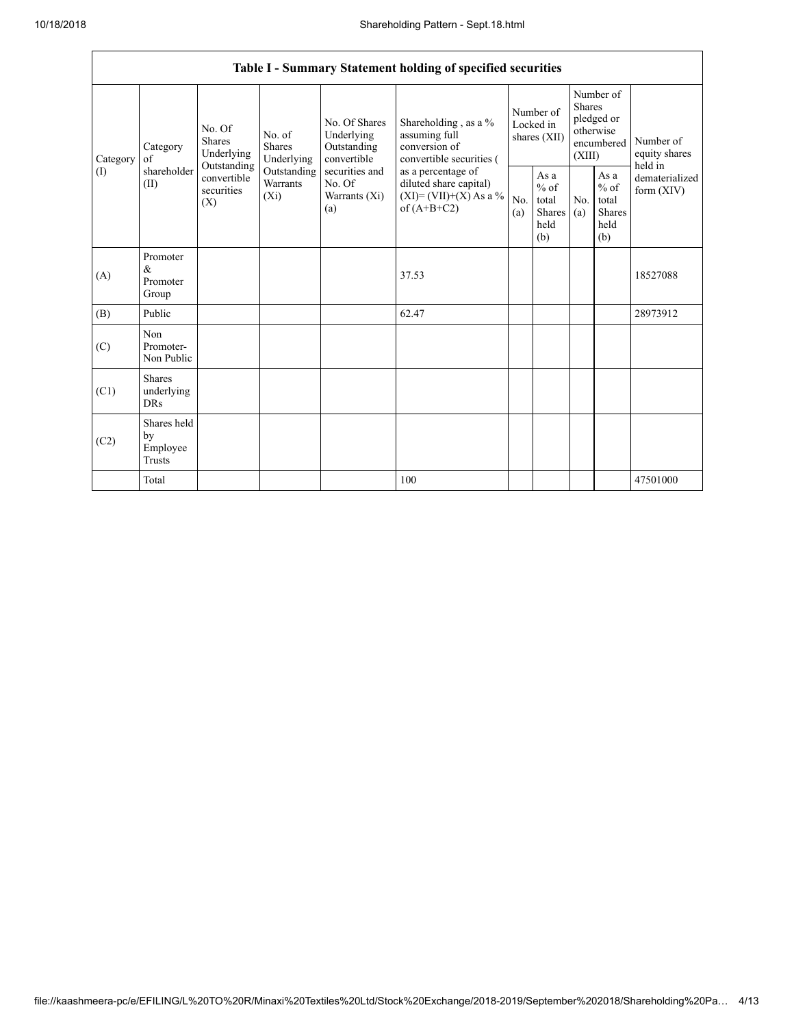٦

|                 | Table I - Summary Statement holding of specified securities |                                                                                                                                                                  |                                                  |                                                                                            |                                                                                    |                                                  |            |                                                                               |                                |                                       |  |
|-----------------|-------------------------------------------------------------|------------------------------------------------------------------------------------------------------------------------------------------------------------------|--------------------------------------------------|--------------------------------------------------------------------------------------------|------------------------------------------------------------------------------------|--------------------------------------------------|------------|-------------------------------------------------------------------------------|--------------------------------|---------------------------------------|--|
| Category<br>(I) | Category<br>of<br>shareholder<br>(II)                       | No. Of<br>No. of<br><b>Shares</b><br>Shares<br>Underlying<br>Underlying<br>Outstanding<br>Outstanding<br>convertible<br>Warrants<br>securities<br>$(X_i)$<br>(X) |                                                  | No. Of Shares<br>Underlying<br>Outstanding<br>convertible                                  | Shareholding, as a %<br>assuming full<br>conversion of<br>convertible securities ( | Number of<br>Locked in<br>shares (XII)           |            | Number of<br><b>Shares</b><br>pledged or<br>otherwise<br>encumbered<br>(XIII) |                                | Number of<br>equity shares<br>held in |  |
|                 |                                                             |                                                                                                                                                                  | securities and<br>No. Of<br>Warrants (Xi)<br>(a) | as a percentage of<br>diluted share capital)<br>$(XI) = (VII)+(X) As a %$<br>of $(A+B+C2)$ | No.<br>(a)                                                                         | As a<br>$%$ of<br>total<br>Shares<br>held<br>(b) | No.<br>(a) | As a<br>$%$ of<br>total<br><b>Shares</b><br>held<br>(b)                       | dematerialized<br>form $(XIV)$ |                                       |  |
| (A)             | Promoter<br>&<br>Promoter<br>Group                          |                                                                                                                                                                  |                                                  |                                                                                            | 37.53                                                                              |                                                  |            |                                                                               |                                | 18527088                              |  |
| (B)             | Public                                                      |                                                                                                                                                                  |                                                  |                                                                                            | 62.47                                                                              |                                                  |            |                                                                               |                                | 28973912                              |  |
| (C)             | Non<br>Promoter-<br>Non Public                              |                                                                                                                                                                  |                                                  |                                                                                            |                                                                                    |                                                  |            |                                                                               |                                |                                       |  |
| (C1)            | <b>Shares</b><br>underlying<br><b>DRs</b>                   |                                                                                                                                                                  |                                                  |                                                                                            |                                                                                    |                                                  |            |                                                                               |                                |                                       |  |
| (C2)            | Shares held<br>by<br>Employee<br>Trusts                     |                                                                                                                                                                  |                                                  |                                                                                            |                                                                                    |                                                  |            |                                                                               |                                |                                       |  |
|                 | Total                                                       |                                                                                                                                                                  |                                                  |                                                                                            | 100                                                                                |                                                  |            |                                                                               |                                | 47501000                              |  |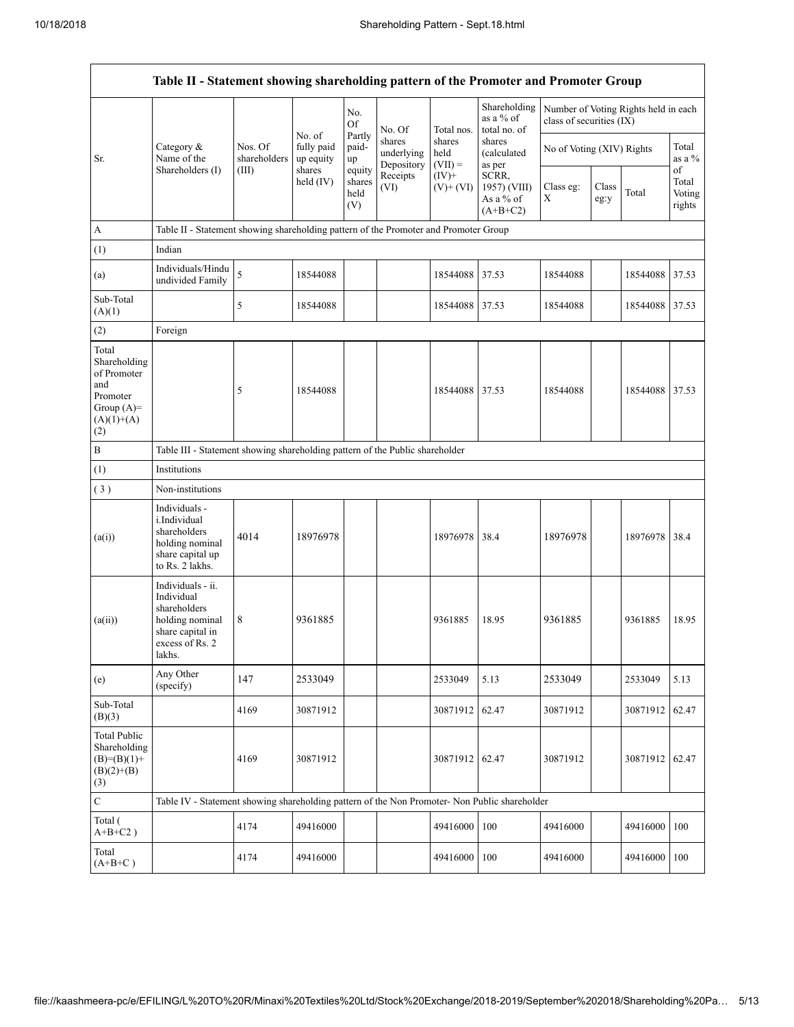|                                                                                                | Table II - Statement showing shareholding pattern of the Promoter and Promoter Group                                |                         |                                   |                                 |                                                        |                             |                                                                                     |                                                                  |               |          |                           |
|------------------------------------------------------------------------------------------------|---------------------------------------------------------------------------------------------------------------------|-------------------------|-----------------------------------|---------------------------------|--------------------------------------------------------|-----------------------------|-------------------------------------------------------------------------------------|------------------------------------------------------------------|---------------|----------|---------------------------|
|                                                                                                |                                                                                                                     |                         |                                   | No.<br>Of                       | No. Of                                                 | Total nos.                  | Shareholding<br>as a % of<br>total no. of                                           | Number of Voting Rights held in each<br>class of securities (IX) |               |          |                           |
| Sr.                                                                                            | Category $\&$<br>Name of the                                                                                        | Nos. Of<br>shareholders | No. of<br>fully paid<br>up equity | Partly<br>paid-<br>up           | shares<br>underlying<br>Depository<br>Receipts<br>(VI) | shares<br>held<br>$(VII) =$ | shares<br>(calculated<br>as per<br>SCRR,<br>1957) (VIII)<br>As a % of<br>$(A+B+C2)$ | No of Voting (XIV) Rights                                        |               |          | Total<br>as a %<br>of     |
|                                                                                                | Shareholders (I)                                                                                                    | (III)                   | shares<br>held $(IV)$             | equity<br>shares<br>held<br>(V) |                                                        | $(IV)+$<br>$(V)$ + $(VI)$   |                                                                                     | Class eg:<br>Х                                                   | Class<br>eg:y | Total    | Total<br>Voting<br>rights |
| А                                                                                              | Table II - Statement showing shareholding pattern of the Promoter and Promoter Group                                |                         |                                   |                                 |                                                        |                             |                                                                                     |                                                                  |               |          |                           |
| (1)                                                                                            | Indian                                                                                                              |                         |                                   |                                 |                                                        |                             |                                                                                     |                                                                  |               |          |                           |
| (a)                                                                                            | Individuals/Hindu<br>undivided Family                                                                               | 5                       | 18544088                          |                                 |                                                        | 18544088                    | 37.53                                                                               | 18544088                                                         |               | 18544088 | 37.53                     |
| Sub-Total<br>(A)(1)                                                                            |                                                                                                                     | 5                       | 18544088                          |                                 |                                                        | 18544088 37.53              |                                                                                     | 18544088                                                         |               | 18544088 | 37.53                     |
| (2)                                                                                            | Foreign                                                                                                             |                         |                                   |                                 |                                                        |                             |                                                                                     |                                                                  |               |          |                           |
| Total<br>Shareholding<br>of Promoter<br>and<br>Promoter<br>Group $(A)=$<br>$(A)(1)+(A)$<br>(2) |                                                                                                                     | 5                       | 18544088                          |                                 |                                                        | 18544088 37.53              |                                                                                     | 18544088                                                         |               | 18544088 | 37.53                     |
| B                                                                                              | Table III - Statement showing shareholding pattern of the Public shareholder                                        |                         |                                   |                                 |                                                        |                             |                                                                                     |                                                                  |               |          |                           |
| (1)                                                                                            | Institutions                                                                                                        |                         |                                   |                                 |                                                        |                             |                                                                                     |                                                                  |               |          |                           |
| (3)                                                                                            | Non-institutions                                                                                                    |                         |                                   |                                 |                                                        |                             |                                                                                     |                                                                  |               |          |                           |
| (a(i))                                                                                         | Individuals -<br>i.Individual<br>shareholders<br>holding nominal<br>share capital up<br>to Rs. 2 lakhs.             | 4014                    | 18976978                          |                                 |                                                        | 18976978                    | 38.4                                                                                | 18976978                                                         |               | 18976978 | 38.4                      |
| (a(ii))                                                                                        | Individuals - ii.<br>Individual<br>shareholders<br>holding nominal<br>share capital in<br>excess of Rs. 2<br>lakhs. | 8                       | 9361885                           |                                 |                                                        | 9361885                     | 18.95                                                                               | 9361885                                                          |               | 9361885  | 18.95                     |
| (e)                                                                                            | Any Other<br>(specify)                                                                                              | 147                     | 2533049                           |                                 |                                                        | 2533049                     | 5.13                                                                                | 2533049                                                          |               | 2533049  | 5.13                      |
| Sub-Total<br>(B)(3)                                                                            |                                                                                                                     | 4169                    | 30871912                          |                                 |                                                        | 30871912                    | 62.47                                                                               | 30871912                                                         |               | 30871912 | 62.47                     |
| <b>Total Public</b><br>Shareholding<br>$(B)= (B)(1) +$<br>$(B)(2)+(B)$<br>(3)                  |                                                                                                                     | 4169                    | 30871912                          |                                 |                                                        | 30871912 62.47              |                                                                                     | 30871912                                                         |               | 30871912 | 62.47                     |
| $\mathbf C$                                                                                    | Table IV - Statement showing shareholding pattern of the Non Promoter- Non Public shareholder                       |                         |                                   |                                 |                                                        |                             |                                                                                     |                                                                  |               |          |                           |
| Total (<br>$A+B+C2$ )                                                                          |                                                                                                                     | 4174                    | 49416000                          |                                 |                                                        | 49416000                    | 100                                                                                 | 49416000                                                         |               | 49416000 | 100                       |
| Total<br>$(A+B+C)$                                                                             |                                                                                                                     | 4174                    | 49416000                          |                                 |                                                        | 49416000                    | 100                                                                                 | 49416000                                                         |               | 49416000 | 100                       |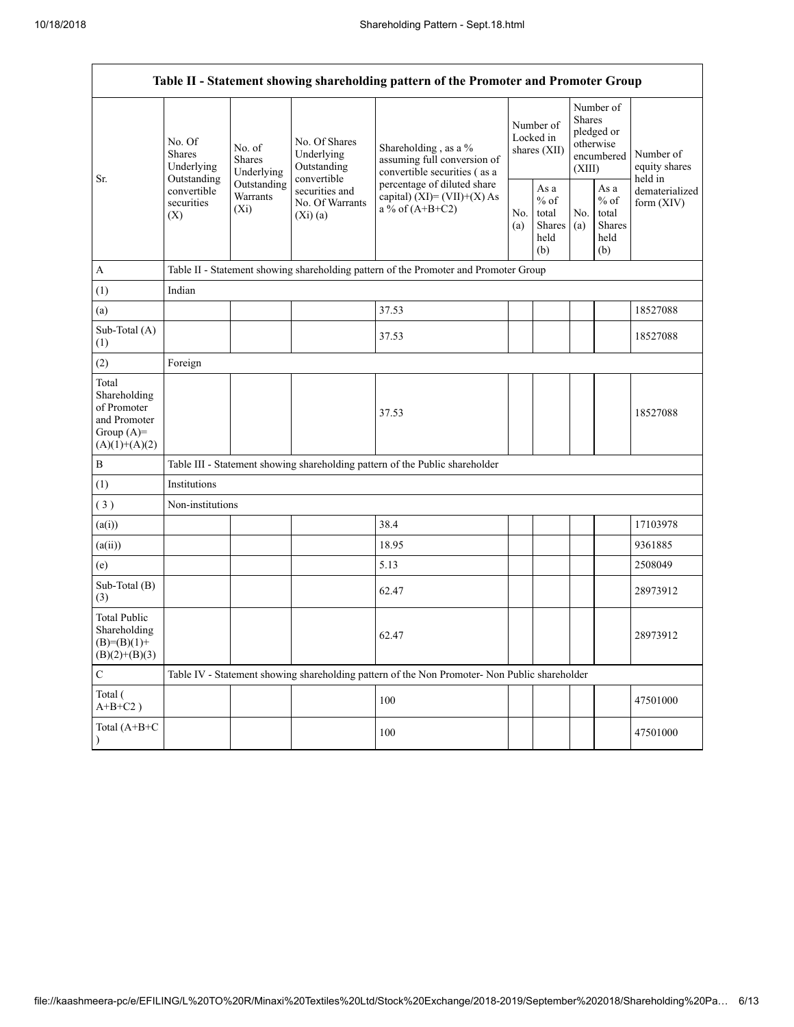Г

|                                                                                         | Table II - Statement showing shareholding pattern of the Promoter and Promoter Group  |                                                                                      |                                                             |                                                                                               |  |                                                  |            |                                                                               |                                       |  |  |
|-----------------------------------------------------------------------------------------|---------------------------------------------------------------------------------------|--------------------------------------------------------------------------------------|-------------------------------------------------------------|-----------------------------------------------------------------------------------------------|--|--------------------------------------------------|------------|-------------------------------------------------------------------------------|---------------------------------------|--|--|
| Sr.                                                                                     | No. Of<br><b>Shares</b><br>Underlying                                                 | No. of<br><b>Shares</b><br>Underlying                                                | No. Of Shares<br>Underlying<br>Outstanding                  | Shareholding, as a %<br>assuming full conversion of<br>convertible securities (as a           |  | Number of<br>Locked in<br>shares (XII)           |            | Number of<br><b>Shares</b><br>pledged or<br>otherwise<br>encumbered<br>(XIII) | Number of<br>equity shares<br>held in |  |  |
|                                                                                         | Outstanding<br>Outstanding<br>convertible<br>Warrants<br>securities<br>$(X_i)$<br>(X) |                                                                                      | convertible<br>securities and<br>No. Of Warrants<br>(Xi)(a) | percentage of diluted share<br>capital) $(XI) = (VII)+(X) As$<br>a % of $(A+B+C2)$            |  | As a<br>$%$ of<br>total<br>Shares<br>held<br>(b) | No.<br>(a) | As a<br>$%$ of<br>total<br>Shares<br>held<br>(b)                              | dematerialized<br>form $(XIV)$        |  |  |
| $\mathbf{A}$                                                                            |                                                                                       | Table II - Statement showing shareholding pattern of the Promoter and Promoter Group |                                                             |                                                                                               |  |                                                  |            |                                                                               |                                       |  |  |
| (1)                                                                                     | Indian                                                                                |                                                                                      |                                                             |                                                                                               |  |                                                  |            |                                                                               |                                       |  |  |
| (a)                                                                                     |                                                                                       |                                                                                      |                                                             | 37.53                                                                                         |  |                                                  |            |                                                                               | 18527088                              |  |  |
| Sub-Total (A)<br>(1)                                                                    |                                                                                       |                                                                                      |                                                             | 37.53                                                                                         |  |                                                  |            |                                                                               | 18527088                              |  |  |
| (2)                                                                                     | Foreign                                                                               |                                                                                      |                                                             |                                                                                               |  |                                                  |            |                                                                               |                                       |  |  |
| Total<br>Shareholding<br>of Promoter<br>and Promoter<br>Group $(A)=$<br>$(A)(1)+(A)(2)$ |                                                                                       |                                                                                      |                                                             | 37.53                                                                                         |  |                                                  |            |                                                                               | 18527088                              |  |  |
| $\, {\bf B}$                                                                            |                                                                                       |                                                                                      |                                                             | Table III - Statement showing shareholding pattern of the Public shareholder                  |  |                                                  |            |                                                                               |                                       |  |  |
| (1)                                                                                     | Institutions                                                                          |                                                                                      |                                                             |                                                                                               |  |                                                  |            |                                                                               |                                       |  |  |
| (3)                                                                                     | Non-institutions                                                                      |                                                                                      |                                                             |                                                                                               |  |                                                  |            |                                                                               |                                       |  |  |
| (a(i))                                                                                  |                                                                                       |                                                                                      |                                                             | 38.4                                                                                          |  |                                                  |            |                                                                               | 17103978                              |  |  |
| (a(ii))                                                                                 |                                                                                       |                                                                                      |                                                             | 18.95                                                                                         |  |                                                  |            |                                                                               | 9361885                               |  |  |
| (e)                                                                                     |                                                                                       |                                                                                      |                                                             | 5.13                                                                                          |  |                                                  |            |                                                                               | 2508049                               |  |  |
| Sub-Total (B)<br>(3)                                                                    |                                                                                       |                                                                                      |                                                             | 62.47                                                                                         |  |                                                  |            |                                                                               | 28973912                              |  |  |
| <b>Total Public</b><br>Shareholding<br>$(B)=(B)(1)+$<br>$(B)(2)+(B)(3)$                 |                                                                                       |                                                                                      |                                                             | 62.47                                                                                         |  |                                                  |            |                                                                               | 28973912                              |  |  |
| $\mathsf C$                                                                             |                                                                                       |                                                                                      |                                                             | Table IV - Statement showing shareholding pattern of the Non Promoter- Non Public shareholder |  |                                                  |            |                                                                               |                                       |  |  |
| Total (<br>$A+B+C2$ )                                                                   |                                                                                       |                                                                                      |                                                             | 100                                                                                           |  |                                                  |            |                                                                               | 47501000                              |  |  |
| Total (A+B+C                                                                            |                                                                                       |                                                                                      |                                                             | 100                                                                                           |  |                                                  |            |                                                                               | 47501000                              |  |  |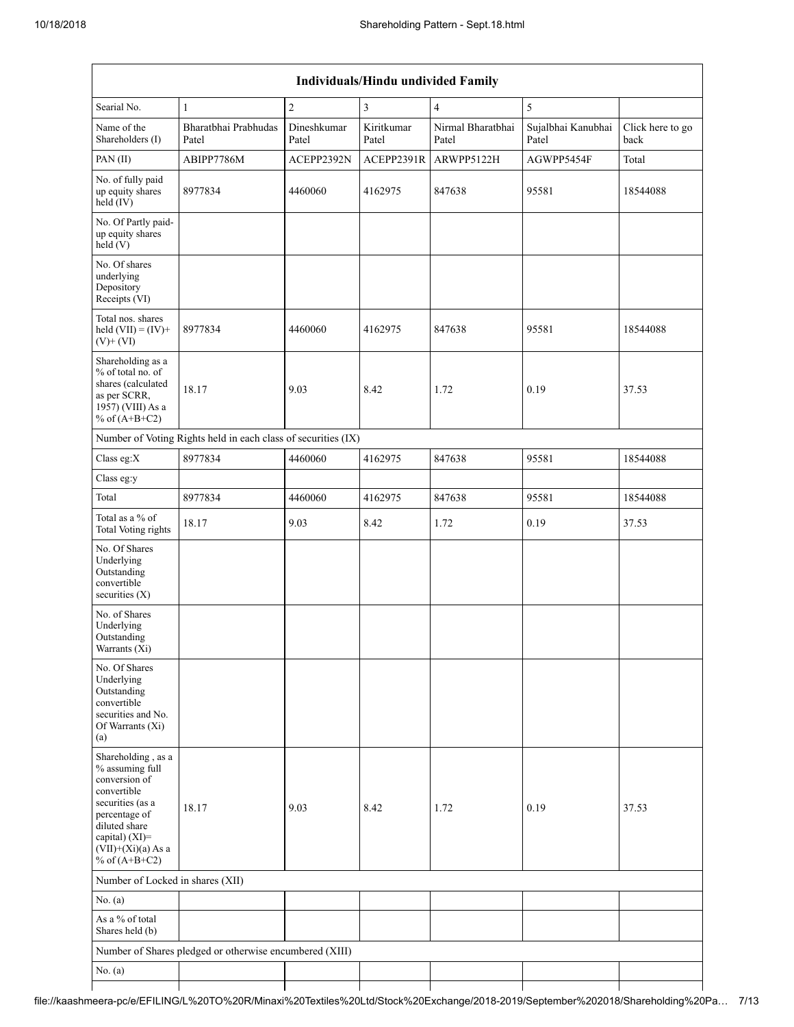|                                                                                                                                                                                             | Individuals/Hindu undivided Family                            |                      |                     |                            |                             |                          |  |  |  |  |  |  |
|---------------------------------------------------------------------------------------------------------------------------------------------------------------------------------------------|---------------------------------------------------------------|----------------------|---------------------|----------------------------|-----------------------------|--------------------------|--|--|--|--|--|--|
| Searial No.                                                                                                                                                                                 | $\mathbf{1}$                                                  | $\overline{2}$       | 3                   | $\overline{4}$             | 5                           |                          |  |  |  |  |  |  |
| Name of the<br>Shareholders (I)                                                                                                                                                             | Bharatbhai Prabhudas<br>Patel                                 | Dineshkumar<br>Patel | Kiritkumar<br>Patel | Nirmal Bharatbhai<br>Patel | Sujalbhai Kanubhai<br>Patel | Click here to go<br>back |  |  |  |  |  |  |
| PAN(II)                                                                                                                                                                                     | ABIPP7786M                                                    | ACEPP2392N           | ACEPP2391R          | ARWPP5122H                 | AGWPP5454F                  | Total                    |  |  |  |  |  |  |
| No. of fully paid<br>up equity shares<br>$held$ (IV)                                                                                                                                        | 8977834                                                       | 4460060              | 4162975             | 847638                     | 95581                       | 18544088                 |  |  |  |  |  |  |
| No. Of Partly paid-<br>up equity shares<br>held(V)                                                                                                                                          |                                                               |                      |                     |                            |                             |                          |  |  |  |  |  |  |
| No. Of shares<br>underlying<br>Depository<br>Receipts (VI)                                                                                                                                  |                                                               |                      |                     |                            |                             |                          |  |  |  |  |  |  |
| Total nos. shares<br>held $(VII) = (IV) +$<br>$(V)$ + $(VI)$                                                                                                                                | 8977834                                                       | 4460060              | 4162975             | 847638                     | 95581                       | 18544088                 |  |  |  |  |  |  |
| Shareholding as a<br>% of total no. of<br>shares (calculated<br>as per SCRR,<br>1957) (VIII) As a<br>% of $(A+B+C2)$                                                                        | 18.17                                                         | 9.03                 | 8.42                | 1.72                       | 0.19                        | 37.53                    |  |  |  |  |  |  |
|                                                                                                                                                                                             | Number of Voting Rights held in each class of securities (IX) |                      |                     |                            |                             |                          |  |  |  |  |  |  |
| Class eg:X                                                                                                                                                                                  | 8977834                                                       | 4460060              | 4162975             | 847638                     | 95581                       | 18544088                 |  |  |  |  |  |  |
| Class eg:y                                                                                                                                                                                  |                                                               |                      |                     |                            |                             |                          |  |  |  |  |  |  |
| Total                                                                                                                                                                                       | 8977834                                                       | 4460060              | 4162975             | 847638                     | 95581                       | 18544088                 |  |  |  |  |  |  |
| Total as a % of<br>Total Voting rights                                                                                                                                                      | 18.17                                                         | 9.03                 | 8.42                | 1.72                       | 0.19                        | 37.53                    |  |  |  |  |  |  |
| No. Of Shares<br>Underlying<br>Outstanding<br>convertible<br>securities $(X)$                                                                                                               |                                                               |                      |                     |                            |                             |                          |  |  |  |  |  |  |
| No. of Shares<br>Underlying<br>Outstanding<br>Warrants (Xi)                                                                                                                                 |                                                               |                      |                     |                            |                             |                          |  |  |  |  |  |  |
| No. Of Shares<br>Underlying<br>Outstanding<br>convertible<br>securities and No.<br>Of Warrants (Xi)<br>(a)                                                                                  |                                                               |                      |                     |                            |                             |                          |  |  |  |  |  |  |
| Shareholding, as a<br>% assuming full<br>conversion of<br>convertible<br>securities (as a<br>percentage of<br>diluted share<br>capital) $(XI)$ =<br>$(VII)+(Xi)(a) As a$<br>% of $(A+B+C2)$ | 18.17                                                         | 9.03                 | 8.42                | 1.72                       | 0.19                        | 37.53                    |  |  |  |  |  |  |
| Number of Locked in shares (XII)                                                                                                                                                            |                                                               |                      |                     |                            |                             |                          |  |  |  |  |  |  |
| No. $(a)$                                                                                                                                                                                   |                                                               |                      |                     |                            |                             |                          |  |  |  |  |  |  |
| As a % of total<br>Shares held (b)                                                                                                                                                          |                                                               |                      |                     |                            |                             |                          |  |  |  |  |  |  |
|                                                                                                                                                                                             | Number of Shares pledged or otherwise encumbered (XIII)       |                      |                     |                            |                             |                          |  |  |  |  |  |  |
| No. (a)                                                                                                                                                                                     |                                                               |                      |                     |                            |                             |                          |  |  |  |  |  |  |
|                                                                                                                                                                                             |                                                               |                      |                     |                            |                             |                          |  |  |  |  |  |  |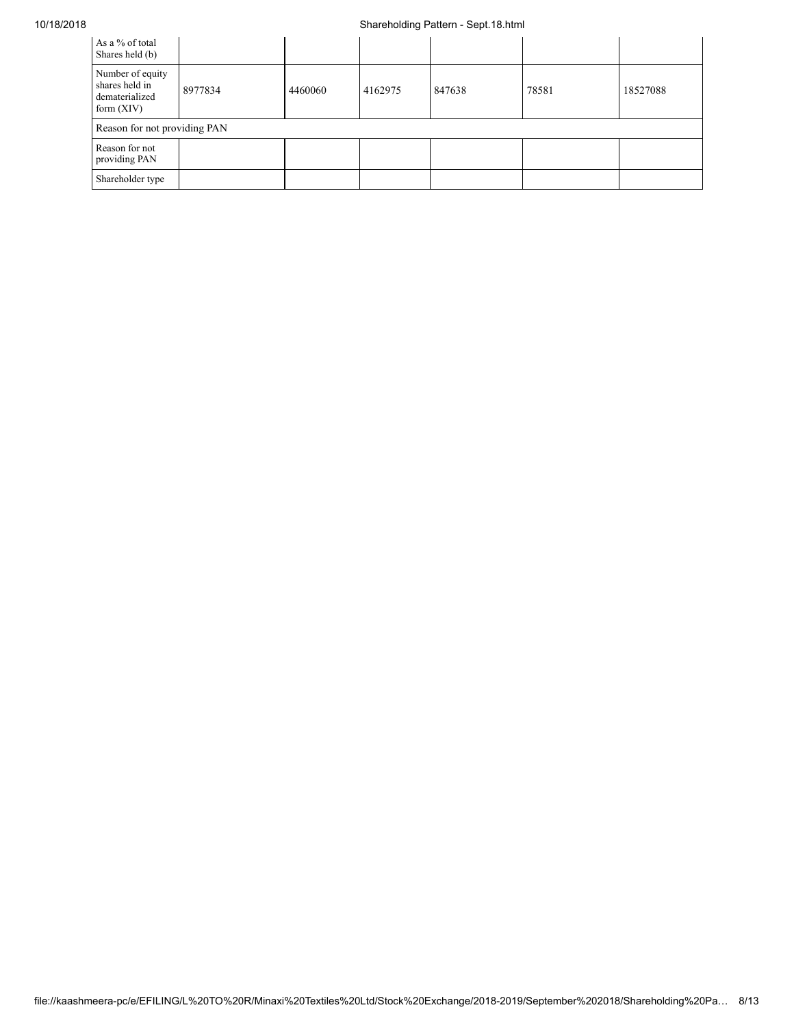## 10/18/2018 Shareholding Pattern - Sept.18.html

| As a % of total<br>Shares held (b)                                   |         |         |         |        |       |          |
|----------------------------------------------------------------------|---------|---------|---------|--------|-------|----------|
| Number of equity<br>shares held in<br>dematerialized<br>form $(XIV)$ | 8977834 | 4460060 | 4162975 | 847638 | 78581 | 18527088 |
| Reason for not providing PAN                                         |         |         |         |        |       |          |
| Reason for not<br>providing PAN                                      |         |         |         |        |       |          |
| Shareholder type                                                     |         |         |         |        |       |          |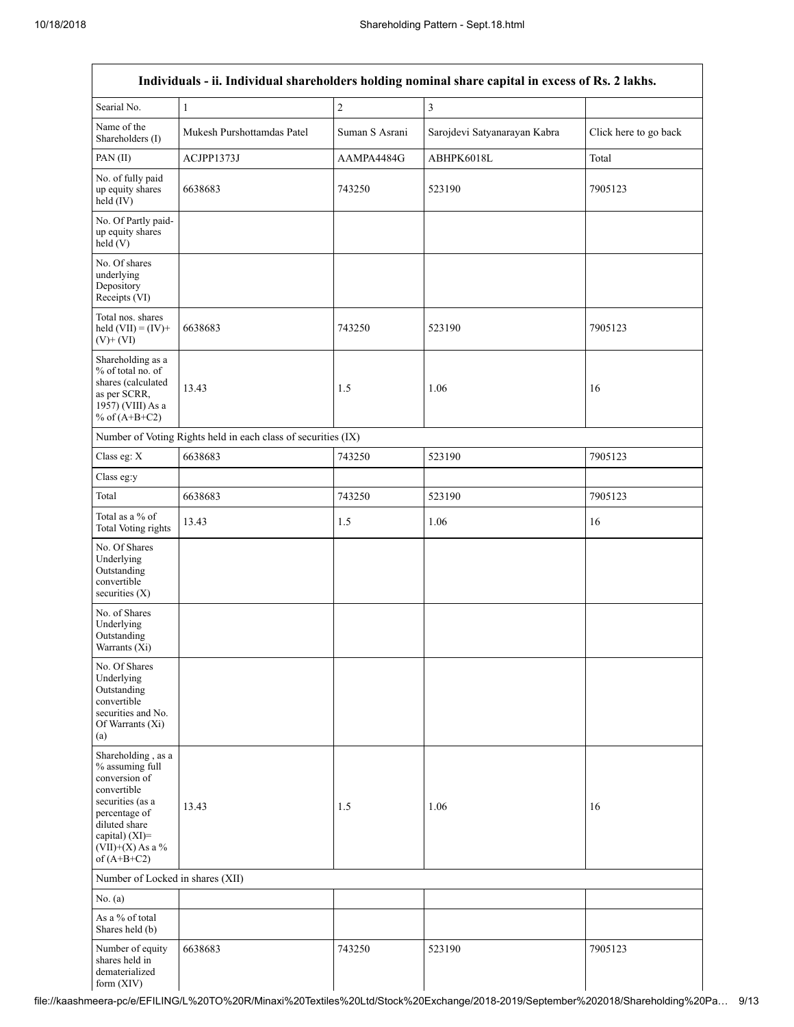|                                                                                                                                                                                      |                                                               |                | Individuals - ii. Individual shareholders holding nominal share capital in excess of Rs. 2 lakhs. |                       |
|--------------------------------------------------------------------------------------------------------------------------------------------------------------------------------------|---------------------------------------------------------------|----------------|---------------------------------------------------------------------------------------------------|-----------------------|
| Searial No.                                                                                                                                                                          | $\,1\,$                                                       | $\overline{c}$ | $\overline{3}$                                                                                    |                       |
| Name of the<br>Shareholders (I)                                                                                                                                                      | Mukesh Purshottamdas Patel                                    | Suman S Asrani | Sarojdevi Satyanarayan Kabra                                                                      | Click here to go back |
| PAN(II)                                                                                                                                                                              | ACJPP1373J                                                    | AAMPA4484G     | ABHPK6018L                                                                                        | Total                 |
| No. of fully paid<br>up equity shares<br>$held$ (IV)                                                                                                                                 | 6638683                                                       | 743250         | 523190                                                                                            | 7905123               |
| No. Of Partly paid-<br>up equity shares<br>held(V)                                                                                                                                   |                                                               |                |                                                                                                   |                       |
| No. Of shares<br>underlying<br>Depository<br>Receipts (VI)                                                                                                                           |                                                               |                |                                                                                                   |                       |
| Total nos. shares<br>held $(VII) = (IV) +$<br>$(V)$ + $(VI)$                                                                                                                         | 6638683                                                       | 743250         | 523190                                                                                            | 7905123               |
| Shareholding as a<br>% of total no. of<br>shares (calculated<br>as per SCRR,<br>1957) (VIII) As a<br>% of $(A+B+C2)$                                                                 | 13.43                                                         | 1.5            | 1.06                                                                                              | 16                    |
|                                                                                                                                                                                      | Number of Voting Rights held in each class of securities (IX) |                |                                                                                                   |                       |
| Class eg: X                                                                                                                                                                          | 6638683                                                       | 743250         | 523190                                                                                            | 7905123               |
| Class eg:y                                                                                                                                                                           |                                                               |                |                                                                                                   |                       |
| Total                                                                                                                                                                                | 6638683                                                       | 743250         | 523190                                                                                            | 7905123               |
| Total as a % of<br>Total Voting rights                                                                                                                                               | 13.43                                                         | 1.5            | 1.06                                                                                              | 16                    |
| No. Of Shares<br>Underlying<br>Outstanding<br>convertible<br>securities $(X)$                                                                                                        |                                                               |                |                                                                                                   |                       |
| No. of Shares<br>Underlying<br>Outstanding<br>Warrants (Xi)                                                                                                                          |                                                               |                |                                                                                                   |                       |
| No. Of Shares<br>Underlying<br>Outstanding<br>convertible<br>securities and No.<br>Of Warrants (Xi)<br>(a)                                                                           |                                                               |                |                                                                                                   |                       |
| Shareholding, as a<br>% assuming full<br>conversion of<br>convertible<br>securities (as a<br>percentage of<br>diluted share<br>capital) (XI)=<br>$(VII)+(X)$ As a %<br>of $(A+B+C2)$ | 13.43                                                         | 1.5            | 1.06                                                                                              | 16                    |
| Number of Locked in shares (XII)                                                                                                                                                     |                                                               |                |                                                                                                   |                       |
| No. (a)                                                                                                                                                                              |                                                               |                |                                                                                                   |                       |
| As a % of total<br>Shares held (b)                                                                                                                                                   |                                                               |                |                                                                                                   |                       |
| Number of equity<br>shares held in<br>dematerialized<br>form (XIV)                                                                                                                   | 6638683                                                       | 743250         | 523190                                                                                            | 7905123               |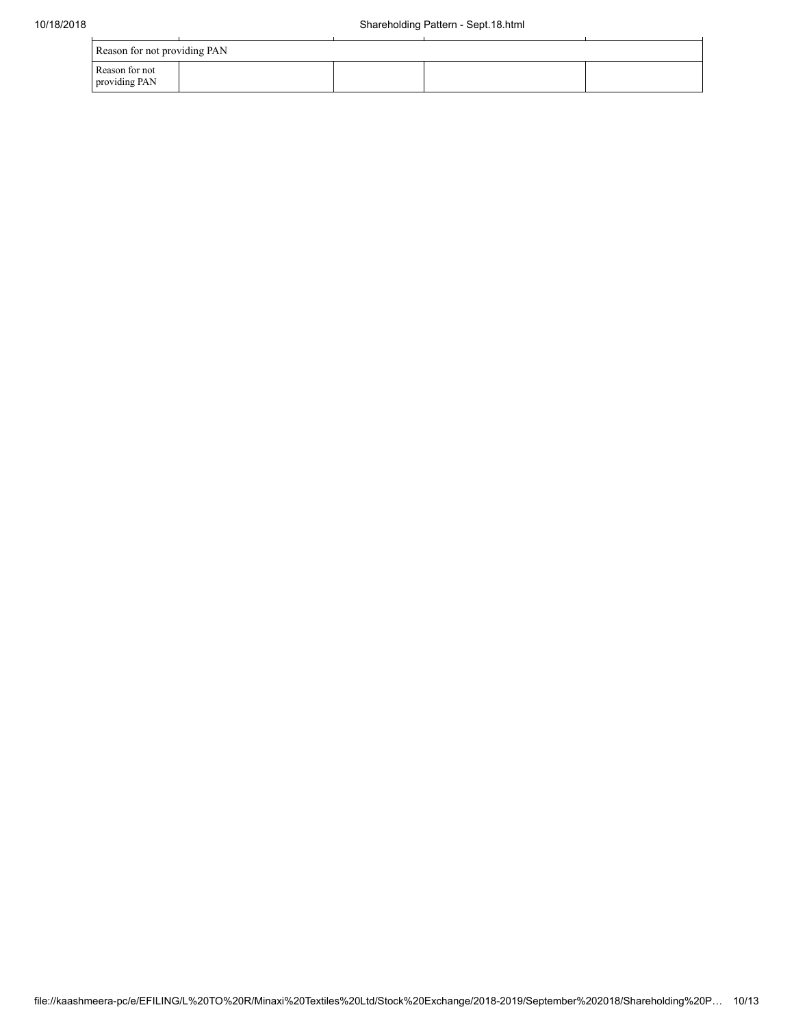| Reason for not providing PAN    |  |  |  |  |  |  |  |  |  |
|---------------------------------|--|--|--|--|--|--|--|--|--|
| Reason for not<br>providing PAN |  |  |  |  |  |  |  |  |  |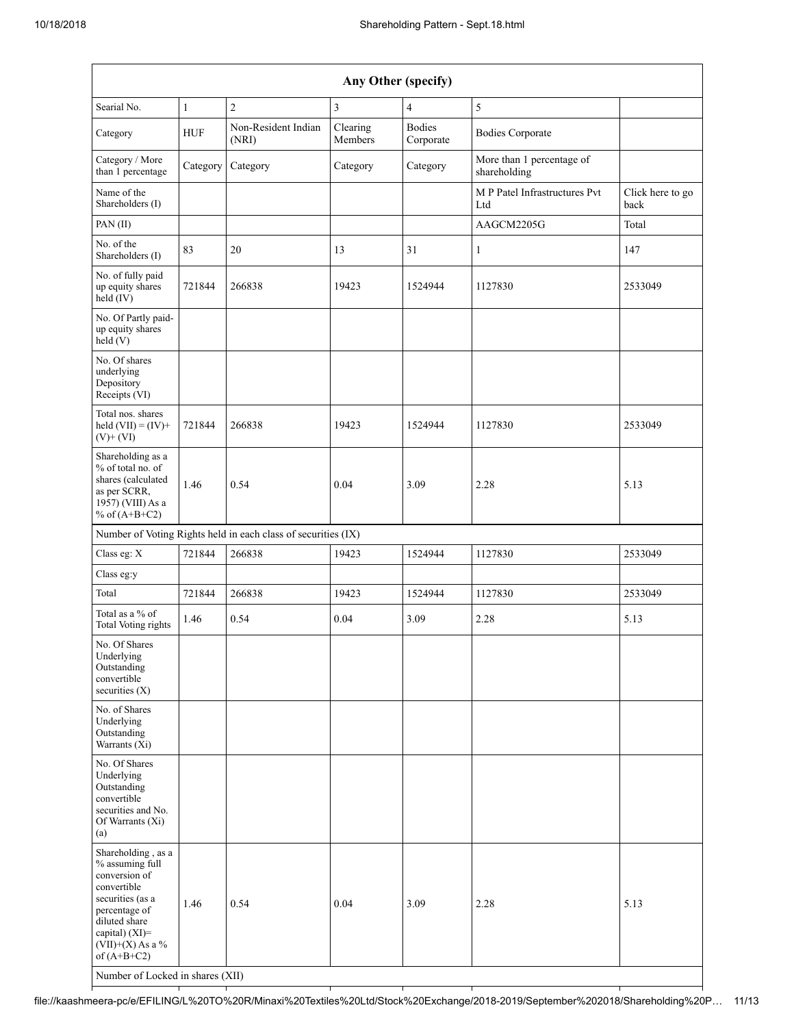| Any Other (specify)                                                                                                                                                                                                      |              |                                                               |                     |                            |                                           |                          |  |  |  |  |
|--------------------------------------------------------------------------------------------------------------------------------------------------------------------------------------------------------------------------|--------------|---------------------------------------------------------------|---------------------|----------------------------|-------------------------------------------|--------------------------|--|--|--|--|
| Searial No.                                                                                                                                                                                                              | $\mathbf{1}$ | $\overline{c}$                                                | 3                   | $\overline{4}$             | $\sqrt{5}$                                |                          |  |  |  |  |
| Category                                                                                                                                                                                                                 | <b>HUF</b>   | Non-Resident Indian<br>(NRI)                                  | Clearing<br>Members | <b>Bodies</b><br>Corporate | <b>Bodies Corporate</b>                   |                          |  |  |  |  |
| Category / More<br>than 1 percentage                                                                                                                                                                                     | Category     | Category                                                      | Category            | Category                   | More than 1 percentage of<br>shareholding |                          |  |  |  |  |
| Name of the<br>Shareholders (I)                                                                                                                                                                                          |              |                                                               |                     |                            | M P Patel Infrastructures Pvt<br>Ltd      | Click here to go<br>back |  |  |  |  |
| PAN(II)                                                                                                                                                                                                                  |              |                                                               |                     |                            | AAGCM2205G                                | Total                    |  |  |  |  |
| No. of the<br>Shareholders (I)                                                                                                                                                                                           | 83           | 20                                                            | 13                  | 31                         | $\mathbf{1}$                              | 147                      |  |  |  |  |
| No. of fully paid<br>up equity shares<br>$\text{held}(\text{IV})$                                                                                                                                                        | 721844       | 266838                                                        | 19423               | 1524944                    | 1127830                                   | 2533049                  |  |  |  |  |
| No. Of Partly paid-<br>up equity shares<br>held(V)                                                                                                                                                                       |              |                                                               |                     |                            |                                           |                          |  |  |  |  |
| No. Of shares<br>underlying<br>Depository<br>Receipts (VI)                                                                                                                                                               |              |                                                               |                     |                            |                                           |                          |  |  |  |  |
| Total nos. shares<br>held $(VII) = (IV) +$<br>$(V)$ + $(VI)$                                                                                                                                                             | 721844       | 266838                                                        | 19423               | 1524944                    | 1127830                                   | 2533049                  |  |  |  |  |
| Shareholding as a<br>% of total no. of<br>shares (calculated<br>as per SCRR,<br>1957) (VIII) As a<br>% of $(A+B+C2)$                                                                                                     | 1.46         | 0.54                                                          | 0.04                | 3.09                       | 2.28                                      | 5.13                     |  |  |  |  |
|                                                                                                                                                                                                                          |              | Number of Voting Rights held in each class of securities (IX) |                     |                            |                                           |                          |  |  |  |  |
| Class eg: X                                                                                                                                                                                                              | 721844       | 266838                                                        | 19423               | 1524944                    | 1127830                                   | 2533049                  |  |  |  |  |
| Class eg:y                                                                                                                                                                                                               |              |                                                               |                     |                            |                                           |                          |  |  |  |  |
| Total                                                                                                                                                                                                                    | 721844       | 266838                                                        | 19423               | 1524944                    | 1127830                                   | 2533049                  |  |  |  |  |
| Total as a % of<br>Total Voting rights                                                                                                                                                                                   | 1.46         | 0.54                                                          | 0.04                | 3.09                       | 2.28                                      | 5.13                     |  |  |  |  |
| No. Of Shares<br>Underlying<br>Outstanding<br>convertible<br>securities $(X)$                                                                                                                                            |              |                                                               |                     |                            |                                           |                          |  |  |  |  |
| No. of Shares<br>Underlying<br>Outstanding<br>Warrants (Xi)                                                                                                                                                              |              |                                                               |                     |                            |                                           |                          |  |  |  |  |
| No. Of Shares<br>Underlying<br>Outstanding<br>convertible<br>securities and No.<br>Of Warrants (Xi)<br>(a)                                                                                                               |              |                                                               |                     |                            |                                           |                          |  |  |  |  |
| Shareholding, as a<br>% assuming full<br>conversion of<br>convertible<br>securities (as a<br>percentage of<br>diluted share<br>capital) (XI)=<br>$(VII)+(X)$ As a %<br>of $(A+B+C2)$<br>Number of Locked in shares (XII) | 1.46         | 0.54                                                          | 0.04                | 3.09                       | 2.28                                      | 5.13                     |  |  |  |  |

file://kaashmeera-pc/e/EFILING/L%20TO%20R/Minaxi%20Textiles%20Ltd/Stock%20Exchange/2018-2019/September%202018/Shareholding%20P… 11/13